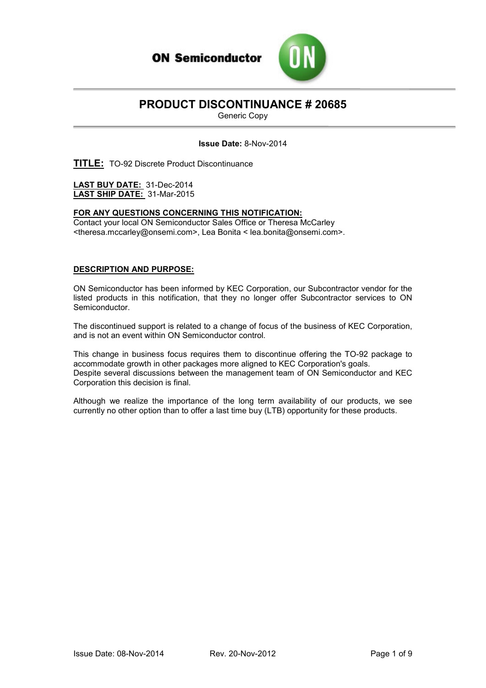

# **PRODUCT DISCONTINUANCE # 20685**

Generic Copy

#### **Issue Date:** 8-Nov-2014

**TITLE:** TO-92 Discrete Product Discontinuance

**LAST BUY DATE:** 31-Dec-2014 **LAST SHIP DATE:** 31-Mar-2015

#### **FOR ANY QUESTIONS CONCERNING THIS NOTIFICATION:**

Contact your local ON Semiconductor Sales Office or Theresa McCarley <theresa.mccarley@onsemi.com>, Lea Bonita < lea.bonita@onsemi.com>.

#### **DESCRIPTION AND PURPOSE:**

ON Semiconductor has been informed by KEC Corporation, our Subcontractor vendor for the listed products in this notification, that they no longer offer Subcontractor services to ON Semiconductor.

The discontinued support is related to a change of focus of the business of KEC Corporation, and is not an event within ON Semiconductor control.

This change in business focus requires them to discontinue offering the TO-92 package to accommodate growth in other packages more aligned to KEC Corporation's goals. Despite several discussions between the management team of ON Semiconductor and KEC Corporation this decision is final.

Although we realize the importance of the long term availability of our products, we see currently no other option than to offer a last time buy (LTB) opportunity for these products.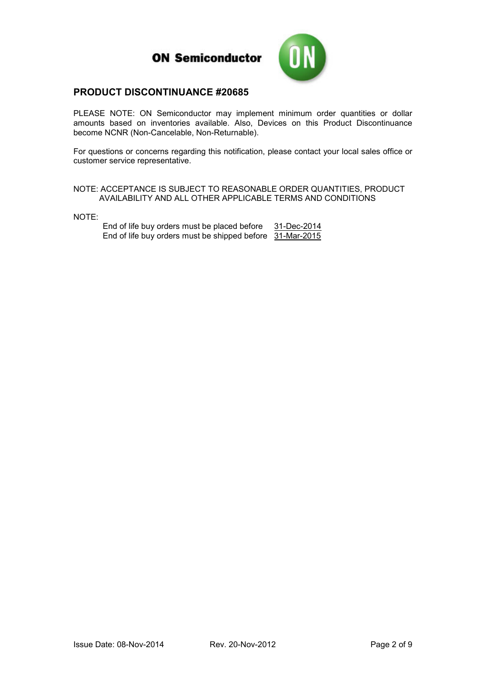

#### **PRODUCT DISCONTINUANCE #20685**

PLEASE NOTE: ON Semiconductor may implement minimum order quantities or dollar amounts based on inventories available. Also, Devices on this Product Discontinuance become NCNR (Non-Cancelable, Non-Returnable).

For questions or concerns regarding this notification, please contact your local sales office or customer service representative.

NOTE: ACCEPTANCE IS SUBJECT TO REASONABLE ORDER QUANTITIES, PRODUCT AVAILABILITY AND ALL OTHER APPLICABLE TERMS AND CONDITIONS

NOTE:

End of life buy orders must be placed before 31-Dec-2014 End of life buy orders must be shipped before 31-Mar-2015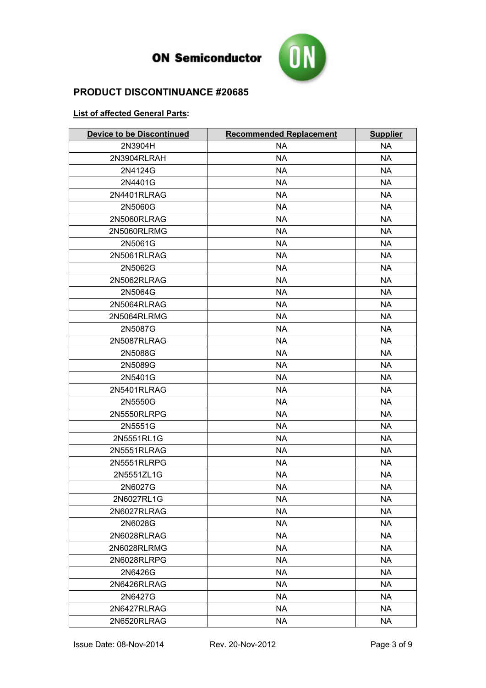

#### **PRODUCT DISCONTINUANCE #20685**

#### **List of affected General Parts:**

| <b>Device to be Discontinued</b> | <b>Recommended Replacement</b> | <b>Supplier</b> |
|----------------------------------|--------------------------------|-----------------|
| 2N3904H                          | <b>NA</b>                      | <b>NA</b>       |
| 2N3904RLRAH                      | <b>NA</b>                      | <b>NA</b>       |
| 2N4124G                          | <b>NA</b>                      | <b>NA</b>       |
| 2N4401G                          | <b>NA</b>                      | <b>NA</b>       |
| 2N4401RLRAG                      | <b>NA</b>                      | <b>NA</b>       |
| 2N5060G                          | <b>NA</b>                      | <b>NA</b>       |
| 2N5060RLRAG                      | <b>NA</b>                      | <b>NA</b>       |
| 2N5060RLRMG                      | <b>NA</b>                      | <b>NA</b>       |
| 2N5061G                          | <b>NA</b>                      | <b>NA</b>       |
| 2N5061RLRAG                      | <b>NA</b>                      | <b>NA</b>       |
| 2N5062G                          | <b>NA</b>                      | NA              |
| 2N5062RLRAG                      | <b>NA</b>                      | <b>NA</b>       |
| 2N5064G                          | <b>NA</b>                      | <b>NA</b>       |
| 2N5064RLRAG                      | <b>NA</b>                      | NA              |
| 2N5064RLRMG                      | <b>NA</b>                      | <b>NA</b>       |
| 2N5087G                          | <b>NA</b>                      | NA              |
| 2N5087RLRAG                      | <b>NA</b>                      | <b>NA</b>       |
| 2N5088G                          | <b>NA</b>                      | <b>NA</b>       |
| 2N5089G                          | <b>NA</b>                      | <b>NA</b>       |
| 2N5401G                          | <b>NA</b>                      | <b>NA</b>       |
| 2N5401RLRAG                      | <b>NA</b>                      | <b>NA</b>       |
| 2N5550G                          | <b>NA</b>                      | <b>NA</b>       |
| 2N5550RLRPG                      | <b>NA</b>                      | <b>NA</b>       |
| 2N5551G                          | <b>NA</b>                      | <b>NA</b>       |
| 2N5551RL1G                       | <b>NA</b>                      | <b>NA</b>       |
| 2N5551RLRAG                      | <b>NA</b>                      | <b>NA</b>       |
| 2N5551RLRPG                      | <b>NA</b>                      | <b>NA</b>       |
| 2N5551ZL1G                       | <b>NA</b>                      | <b>NA</b>       |
| 2N6027G                          | <b>NA</b>                      | <b>NA</b>       |
| 2N6027RL1G                       | <b>NA</b>                      | <b>NA</b>       |
| 2N6027RLRAG                      | <b>NA</b>                      | <b>NA</b>       |
| 2N6028G                          | <b>NA</b>                      | <b>NA</b>       |
| 2N6028RLRAG                      | <b>NA</b>                      | <b>NA</b>       |
| 2N6028RLRMG                      | <b>NA</b>                      | <b>NA</b>       |
| 2N6028RLRPG                      | <b>NA</b>                      | <b>NA</b>       |
| 2N6426G                          | <b>NA</b>                      | <b>NA</b>       |
| 2N6426RLRAG                      | <b>NA</b>                      | <b>NA</b>       |
| 2N6427G                          | <b>NA</b>                      | <b>NA</b>       |
| 2N6427RLRAG                      | <b>NA</b>                      | <b>NA</b>       |
| 2N6520RLRAG                      | <b>NA</b>                      | <b>NA</b>       |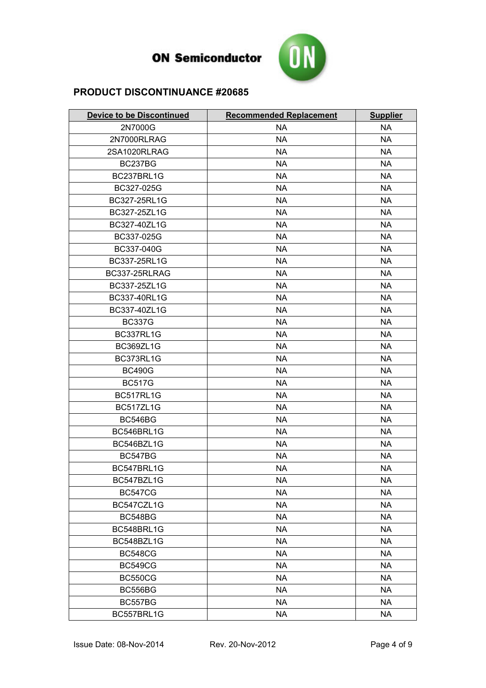

| <b>Device to be Discontinued</b> | <b>Recommended Replacement</b> | <b>Supplier</b> |
|----------------------------------|--------------------------------|-----------------|
| 2N7000G                          | <b>NA</b>                      | <b>NA</b>       |
| 2N7000RLRAG                      | <b>NA</b>                      | <b>NA</b>       |
| 2SA1020RLRAG                     | <b>NA</b>                      | <b>NA</b>       |
| BC237BG                          | <b>NA</b>                      | <b>NA</b>       |
| BC237BRL1G                       | <b>NA</b>                      | <b>NA</b>       |
| BC327-025G                       | <b>NA</b>                      | <b>NA</b>       |
| BC327-25RL1G                     | <b>NA</b>                      | <b>NA</b>       |
| BC327-25ZL1G                     | <b>NA</b>                      | <b>NA</b>       |
| BC327-40ZL1G                     | <b>NA</b>                      | <b>NA</b>       |
| BC337-025G                       | <b>NA</b>                      | <b>NA</b>       |
| BC337-040G                       | <b>NA</b>                      | <b>NA</b>       |
| BC337-25RL1G                     | <b>NA</b>                      | <b>NA</b>       |
| BC337-25RLRAG                    | <b>NA</b>                      | <b>NA</b>       |
| BC337-25ZL1G                     | <b>NA</b>                      | <b>NA</b>       |
| BC337-40RL1G                     | <b>NA</b>                      | <b>NA</b>       |
| BC337-40ZL1G                     | <b>NA</b>                      | <b>NA</b>       |
| <b>BC337G</b>                    | <b>NA</b>                      | <b>NA</b>       |
| BC337RL1G                        | <b>NA</b>                      | <b>NA</b>       |
| BC369ZL1G                        | <b>NA</b>                      | <b>NA</b>       |
| BC373RL1G                        | <b>NA</b>                      | <b>NA</b>       |
| <b>BC490G</b>                    | <b>NA</b>                      | <b>NA</b>       |
| <b>BC517G</b>                    | <b>NA</b>                      | <b>NA</b>       |
| BC517RL1G                        | <b>NA</b>                      | <b>NA</b>       |
| BC517ZL1G                        | <b>NA</b>                      | <b>NA</b>       |
| <b>BC546BG</b>                   | <b>NA</b>                      | <b>NA</b>       |
| BC546BRL1G                       | <b>NA</b>                      | <b>NA</b>       |
| BC546BZL1G                       | <b>NA</b>                      | <b>NA</b>       |
| <b>BC547BG</b>                   | <b>NA</b>                      | <b>NA</b>       |
| BC547BRL1G                       | <b>NA</b>                      | <b>NA</b>       |
| BC547BZL1G                       | <b>NA</b>                      | <b>NA</b>       |
| <b>BC547CG</b>                   | <b>NA</b>                      | <b>NA</b>       |
| BC547CZL1G                       | <b>NA</b>                      | <b>NA</b>       |
| BC548BG                          | <b>NA</b>                      | <b>NA</b>       |
| BC548BRL1G                       | <b>NA</b>                      | <b>NA</b>       |
| BC548BZL1G                       | <b>NA</b>                      | <b>NA</b>       |
| <b>BC548CG</b>                   | <b>NA</b>                      | <b>NA</b>       |
| <b>BC549CG</b>                   | <b>NA</b>                      | <b>NA</b>       |
| <b>BC550CG</b>                   | <b>NA</b>                      | <b>NA</b>       |
| BC556BG                          | <b>NA</b>                      | <b>NA</b>       |
| BC557BG                          | <b>NA</b>                      | <b>NA</b>       |
| BC557BRL1G                       | <b>NA</b>                      | NA              |
|                                  |                                |                 |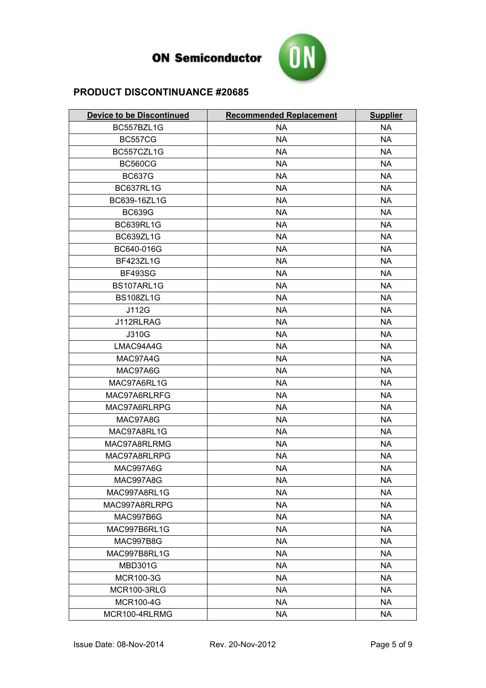

| <b>Device to be Discontinued</b> | <b>Recommended Replacement</b> | <b>Supplier</b> |
|----------------------------------|--------------------------------|-----------------|
| BC557BZL1G                       | <b>NA</b>                      | <b>NA</b>       |
| <b>BC557CG</b>                   | <b>NA</b>                      | <b>NA</b>       |
| BC557CZL1G                       | <b>NA</b>                      | <b>NA</b>       |
| <b>BC560CG</b>                   | <b>NA</b>                      | <b>NA</b>       |
| <b>BC637G</b>                    | <b>NA</b>                      | <b>NA</b>       |
| BC637RL1G                        | <b>NA</b>                      | <b>NA</b>       |
| BC639-16ZL1G                     | <b>NA</b>                      | <b>NA</b>       |
| <b>BC639G</b>                    | <b>NA</b>                      | <b>NA</b>       |
| BC639RL1G                        | <b>NA</b>                      | <b>NA</b>       |
| BC639ZL1G                        | <b>NA</b>                      | <b>NA</b>       |
| BC640-016G                       | <b>NA</b>                      | <b>NA</b>       |
| BF423ZL1G                        | <b>NA</b>                      | <b>NA</b>       |
| <b>BF493SG</b>                   | <b>NA</b>                      | <b>NA</b>       |
| BS107ARL1G                       | <b>NA</b>                      | <b>NA</b>       |
| <b>BS108ZL1G</b>                 | <b>NA</b>                      | <b>NA</b>       |
| J112G                            | <b>NA</b>                      | <b>NA</b>       |
| J112RLRAG                        | <b>NA</b>                      | <b>NA</b>       |
| J310G                            | <b>NA</b>                      | <b>NA</b>       |
| LMAC94A4G                        | <b>NA</b>                      | <b>NA</b>       |
| MAC97A4G                         | <b>NA</b>                      | <b>NA</b>       |
| MAC97A6G                         | <b>NA</b>                      | <b>NA</b>       |
| MAC97A6RL1G                      | <b>NA</b>                      | <b>NA</b>       |
| MAC97A6RLRFG                     | <b>NA</b>                      | <b>NA</b>       |
| MAC97A6RLRPG                     | <b>NA</b>                      | <b>NA</b>       |
| MAC97A8G                         | <b>NA</b>                      | <b>NA</b>       |
| MAC97A8RL1G                      | <b>NA</b>                      | <b>NA</b>       |
| MAC97A8RLRMG                     | <b>NA</b>                      | <b>NA</b>       |
| MAC97A8RLRPG                     | <b>NA</b>                      | <b>NA</b>       |
| MAC997A6G                        | <b>NA</b>                      | <b>NA</b>       |
| <b>MAC997A8G</b>                 | <b>NA</b>                      | <b>NA</b>       |
| MAC997A8RL1G                     | <b>NA</b>                      | <b>NA</b>       |
| MAC997A8RLRPG                    | <b>NA</b>                      | <b>NA</b>       |
| MAC997B6G                        | <b>NA</b>                      | <b>NA</b>       |
| MAC997B6RL1G                     | <b>NA</b>                      | <b>NA</b>       |
| <b>MAC997B8G</b>                 | <b>NA</b>                      | <b>NA</b>       |
| MAC997B8RL1G                     | <b>NA</b>                      | <b>NA</b>       |
| <b>MBD301G</b>                   | <b>NA</b>                      | <b>NA</b>       |
| MCR100-3G                        | <b>NA</b>                      | <b>NA</b>       |
| <b>MCR100-3RLG</b>               | <b>NA</b>                      | <b>NA</b>       |
| <b>MCR100-4G</b>                 | <b>NA</b>                      | <b>NA</b>       |
| MCR100-4RLRMG                    | <b>NA</b>                      | <b>NA</b>       |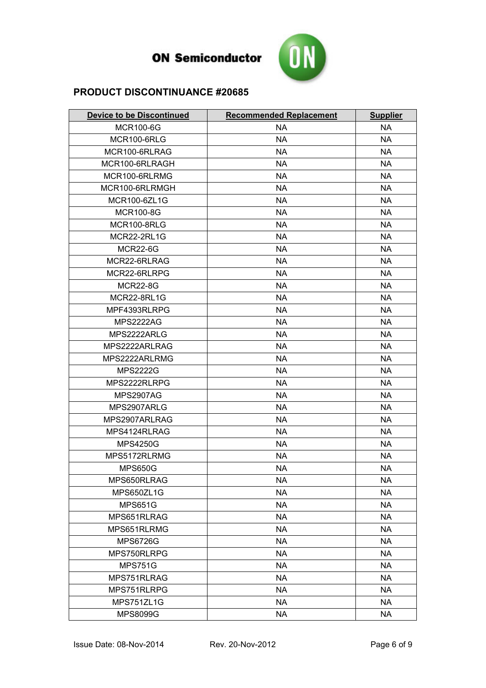

| <b>Device to be Discontinued</b> | <b>Recommended Replacement</b> | <b>Supplier</b> |
|----------------------------------|--------------------------------|-----------------|
| <b>MCR100-6G</b>                 | <b>NA</b>                      | <b>NA</b>       |
| <b>MCR100-6RLG</b>               | <b>NA</b>                      | <b>NA</b>       |
| MCR100-6RLRAG                    | <b>NA</b>                      | <b>NA</b>       |
| MCR100-6RLRAGH                   | <b>NA</b>                      | <b>NA</b>       |
| MCR100-6RLRMG                    | <b>NA</b>                      | <b>NA</b>       |
| MCR100-6RLRMGH                   | <b>NA</b>                      | <b>NA</b>       |
| MCR100-6ZL1G                     | <b>NA</b>                      | <b>NA</b>       |
| <b>MCR100-8G</b>                 | <b>NA</b>                      | <b>NA</b>       |
| <b>MCR100-8RLG</b>               | <b>NA</b>                      | <b>NA</b>       |
| <b>MCR22-2RL1G</b>               | <b>NA</b>                      | <b>NA</b>       |
| <b>MCR22-6G</b>                  | <b>NA</b>                      | <b>NA</b>       |
| MCR22-6RLRAG                     | <b>NA</b>                      | <b>NA</b>       |
| MCR22-6RLRPG                     | <b>NA</b>                      | <b>NA</b>       |
| <b>MCR22-8G</b>                  | <b>NA</b>                      | <b>NA</b>       |
| MCR22-8RL1G                      | <b>NA</b>                      | <b>NA</b>       |
| MPF4393RLRPG                     | <b>NA</b>                      | <b>NA</b>       |
| <b>MPS2222AG</b>                 | <b>NA</b>                      | <b>NA</b>       |
| MPS2222ARLG                      | <b>NA</b>                      | <b>NA</b>       |
| MPS2222ARLRAG                    | <b>NA</b>                      | <b>NA</b>       |
| MPS2222ARLRMG                    | <b>NA</b>                      | <b>NA</b>       |
| <b>MPS2222G</b>                  | <b>NA</b>                      | <b>NA</b>       |
| MPS2222RLRPG                     | <b>NA</b>                      | <b>NA</b>       |
| <b>MPS2907AG</b>                 | <b>NA</b>                      | <b>NA</b>       |
| MPS2907ARLG                      | <b>NA</b>                      | <b>NA</b>       |
| MPS2907ARLRAG                    | <b>NA</b>                      | <b>NA</b>       |
| MPS4124RLRAG                     | <b>NA</b>                      | <b>NA</b>       |
| <b>MPS4250G</b>                  | <b>NA</b>                      | <b>NA</b>       |
| MPS5172RLRMG                     | <b>NA</b>                      | <b>NA</b>       |
| <b>MPS650G</b>                   | <b>NA</b>                      | <b>NA</b>       |
| MPS650RLRAG                      | <b>NA</b>                      | <b>NA</b>       |
| MPS650ZL1G                       | <b>NA</b>                      | <b>NA</b>       |
| <b>MPS651G</b>                   | <b>NA</b>                      | <b>NA</b>       |
| MPS651RLRAG                      | <b>NA</b>                      | <b>NA</b>       |
| MPS651RLRMG                      | <b>NA</b>                      | <b>NA</b>       |
| <b>MPS6726G</b>                  | <b>NA</b>                      | <b>NA</b>       |
| MPS750RLRPG                      | <b>NA</b>                      | <b>NA</b>       |
| <b>MPS751G</b>                   | <b>NA</b>                      | <b>NA</b>       |
| MPS751RLRAG                      | <b>NA</b>                      | <b>NA</b>       |
| MPS751RLRPG                      | <b>NA</b>                      | <b>NA</b>       |
| MPS751ZL1G                       | <b>NA</b>                      | <b>NA</b>       |
| <b>MPS8099G</b>                  | <b>NA</b>                      | <b>NA</b>       |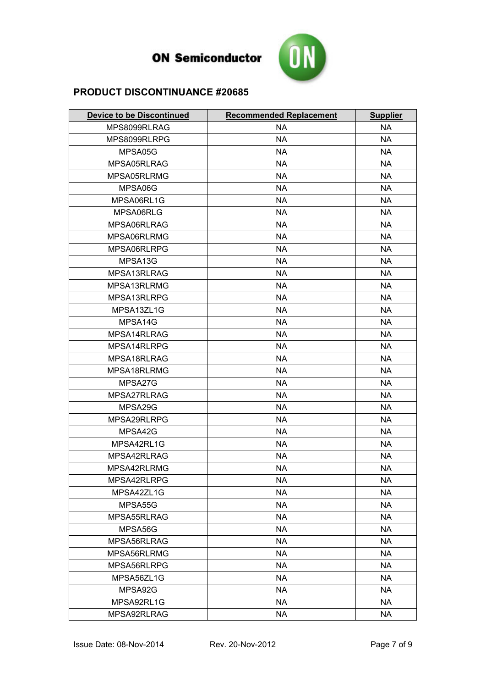

| <b>Device to be Discontinued</b> | <b>Recommended Replacement</b> | <b>Supplier</b> |
|----------------------------------|--------------------------------|-----------------|
| MPS8099RLRAG                     | <b>NA</b>                      | <b>NA</b>       |
| MPS8099RLRPG                     | <b>NA</b>                      | <b>NA</b>       |
| MPSA05G                          | <b>NA</b>                      | <b>NA</b>       |
| MPSA05RLRAG                      | <b>NA</b>                      | <b>NA</b>       |
| MPSA05RLRMG                      | <b>NA</b>                      | <b>NA</b>       |
| MPSA06G                          | <b>NA</b>                      | <b>NA</b>       |
| MPSA06RL1G                       | <b>NA</b>                      | <b>NA</b>       |
| MPSA06RLG                        | <b>NA</b>                      | <b>NA</b>       |
| MPSA06RLRAG                      | <b>NA</b>                      | <b>NA</b>       |
| MPSA06RLRMG                      | <b>NA</b>                      | <b>NA</b>       |
| MPSA06RLRPG                      | <b>NA</b>                      | <b>NA</b>       |
| MPSA13G                          | <b>NA</b>                      | <b>NA</b>       |
| MPSA13RLRAG                      | <b>NA</b>                      | <b>NA</b>       |
| MPSA13RLRMG                      | <b>NA</b>                      | <b>NA</b>       |
| MPSA13RLRPG                      | <b>NA</b>                      | <b>NA</b>       |
| MPSA13ZL1G                       | <b>NA</b>                      | <b>NA</b>       |
| MPSA14G                          | <b>NA</b>                      | <b>NA</b>       |
| MPSA14RLRAG                      | <b>NA</b>                      | <b>NA</b>       |
| MPSA14RLRPG                      | <b>NA</b>                      | <b>NA</b>       |
| MPSA18RLRAG                      | <b>NA</b>                      | <b>NA</b>       |
| MPSA18RLRMG                      | <b>NA</b>                      | <b>NA</b>       |
| MPSA27G                          | <b>NA</b>                      | <b>NA</b>       |
| MPSA27RLRAG                      | <b>NA</b>                      | <b>NA</b>       |
| MPSA29G                          | <b>NA</b>                      | <b>NA</b>       |
| MPSA29RLRPG                      | <b>NA</b>                      | <b>NA</b>       |
| MPSA42G                          | <b>NA</b>                      | <b>NA</b>       |
| MPSA42RL1G                       | <b>NA</b>                      | <b>NA</b>       |
| MPSA42RLRAG                      | <b>NA</b>                      | <b>NA</b>       |
| MPSA42RLRMG                      | <b>NA</b>                      | <b>NA</b>       |
| MPSA42RLRPG                      | <b>NA</b>                      | <b>NA</b>       |
| MPSA42ZL1G                       | <b>NA</b>                      | <b>NA</b>       |
| MPSA55G                          | <b>NA</b>                      | <b>NA</b>       |
| MPSA55RLRAG                      | <b>NA</b>                      | <b>NA</b>       |
| MPSA56G                          | <b>NA</b>                      | <b>NA</b>       |
| MPSA56RLRAG                      | <b>NA</b>                      | <b>NA</b>       |
| MPSA56RLRMG                      | <b>NA</b>                      | <b>NA</b>       |
| MPSA56RLRPG                      | <b>NA</b>                      | <b>NA</b>       |
| MPSA56ZL1G                       | <b>NA</b>                      | <b>NA</b>       |
| MPSA92G                          | <b>NA</b>                      | <b>NA</b>       |
| MPSA92RL1G                       | <b>NA</b>                      | <b>NA</b>       |
| MPSA92RLRAG                      | <b>NA</b>                      | <b>NA</b>       |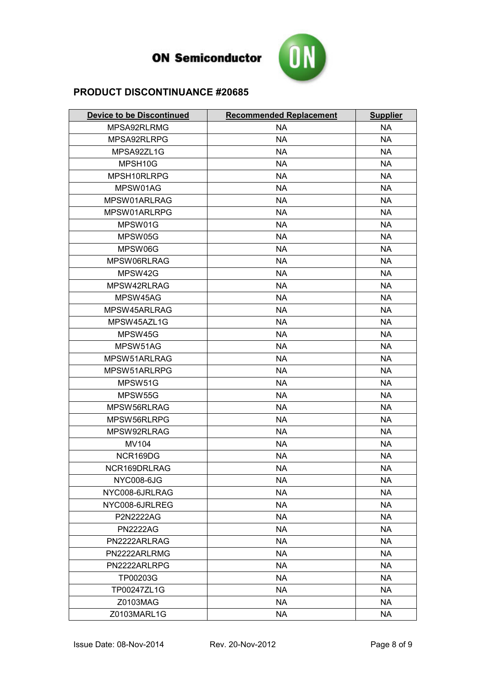

| <b>Device to be Discontinued</b> | <b>Recommended Replacement</b> | <b>Supplier</b> |
|----------------------------------|--------------------------------|-----------------|
| MPSA92RLRMG                      | <b>NA</b>                      | <b>NA</b>       |
| MPSA92RLRPG                      | <b>NA</b>                      | <b>NA</b>       |
| MPSA92ZL1G                       | <b>NA</b>                      | <b>NA</b>       |
| MPSH10G                          | <b>NA</b>                      | <b>NA</b>       |
| MPSH10RLRPG                      | <b>NA</b>                      | <b>NA</b>       |
| MPSW01AG                         | <b>NA</b>                      | <b>NA</b>       |
| MPSW01ARLRAG                     | <b>NA</b>                      | <b>NA</b>       |
| MPSW01ARLRPG                     | <b>NA</b>                      | <b>NA</b>       |
| MPSW01G                          | <b>NA</b>                      | <b>NA</b>       |
| MPSW05G                          | <b>NA</b>                      | <b>NA</b>       |
| MPSW06G                          | <b>NA</b>                      | <b>NA</b>       |
| MPSW06RLRAG                      | <b>NA</b>                      | <b>NA</b>       |
| MPSW42G                          | <b>NA</b>                      | <b>NA</b>       |
| MPSW42RLRAG                      | <b>NA</b>                      | <b>NA</b>       |
| MPSW45AG                         | <b>NA</b>                      | <b>NA</b>       |
| MPSW45ARLRAG                     | <b>NA</b>                      | <b>NA</b>       |
| MPSW45AZL1G                      | <b>NA</b>                      | <b>NA</b>       |
| MPSW45G                          | <b>NA</b>                      | <b>NA</b>       |
| MPSW51AG                         | <b>NA</b>                      | <b>NA</b>       |
| MPSW51ARLRAG                     | <b>NA</b>                      | <b>NA</b>       |
| MPSW51ARLRPG                     | <b>NA</b>                      | <b>NA</b>       |
| MPSW51G                          | <b>NA</b>                      | <b>NA</b>       |
| MPSW55G                          | <b>NA</b>                      | <b>NA</b>       |
| MPSW56RLRAG                      | <b>NA</b>                      | <b>NA</b>       |
| MPSW56RLRPG                      | <b>NA</b>                      | <b>NA</b>       |
| MPSW92RLRAG                      | <b>NA</b>                      | <b>NA</b>       |
| <b>MV104</b>                     | <b>NA</b>                      | <b>NA</b>       |
| NCR169DG                         | <b>NA</b>                      | <b>NA</b>       |
| NCR169DRLRAG                     | <b>NA</b>                      | <b>NA</b>       |
| <b>NYC008-6JG</b>                | <b>NA</b>                      | <b>NA</b>       |
| NYC008-6JRLRAG                   | <b>NA</b>                      | <b>NA</b>       |
| NYC008-6JRLREG                   | <b>NA</b>                      | <b>NA</b>       |
| P2N2222AG                        | <b>NA</b>                      | <b>NA</b>       |
| <b>PN2222AG</b>                  | <b>NA</b>                      | <b>NA</b>       |
| PN2222ARLRAG                     | <b>NA</b>                      | <b>NA</b>       |
| PN2222ARLRMG                     | <b>NA</b>                      | <b>NA</b>       |
| PN2222ARLRPG                     | <b>NA</b>                      | <b>NA</b>       |
| TP00203G                         | <b>NA</b>                      | <b>NA</b>       |
| TP00247ZL1G                      | <b>NA</b>                      | <b>NA</b>       |
| Z0103MAG                         | <b>NA</b>                      | <b>NA</b>       |
| Z0103MARL1G                      | <b>NA</b>                      | <b>NA</b>       |